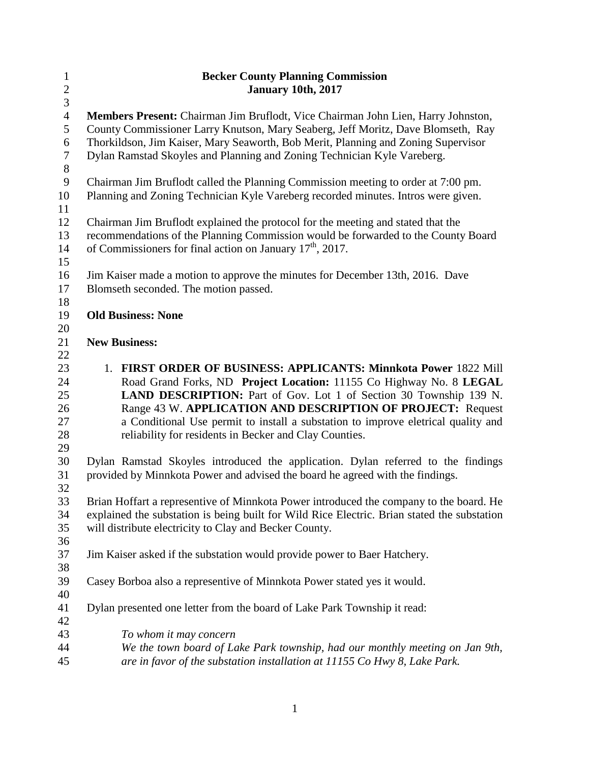| $\mathbf{1}$   | <b>Becker County Planning Commission</b>                                                    |
|----------------|---------------------------------------------------------------------------------------------|
| $\overline{c}$ | <b>January 10th, 2017</b>                                                                   |
| 3              |                                                                                             |
| $\overline{4}$ | Members Present: Chairman Jim Bruflodt, Vice Chairman John Lien, Harry Johnston,            |
| 5              | County Commissioner Larry Knutson, Mary Seaberg, Jeff Moritz, Dave Blomseth, Ray            |
| 6              | Thorkildson, Jim Kaiser, Mary Seaworth, Bob Merit, Planning and Zoning Supervisor           |
| $\overline{7}$ | Dylan Ramstad Skoyles and Planning and Zoning Technician Kyle Vareberg.                     |
| $8\,$          |                                                                                             |
| $\overline{9}$ | Chairman Jim Bruflodt called the Planning Commission meeting to order at 7:00 pm.           |
| 10             | Planning and Zoning Technician Kyle Vareberg recorded minutes. Intros were given.           |
| 11             |                                                                                             |
| 12             | Chairman Jim Bruflodt explained the protocol for the meeting and stated that the            |
| 13             | recommendations of the Planning Commission would be forwarded to the County Board           |
| 14             | of Commissioners for final action on January 17 <sup>th</sup> , 2017.                       |
| 15             |                                                                                             |
| 16             | Jim Kaiser made a motion to approve the minutes for December 13th, 2016. Dave               |
| 17             | Blomseth seconded. The motion passed.                                                       |
| 18             |                                                                                             |
| 19             | <b>Old Business: None</b>                                                                   |
| 20             |                                                                                             |
| 21             | <b>New Business:</b>                                                                        |
| 22             |                                                                                             |
| 23             | 1. FIRST ORDER OF BUSINESS: APPLICANTS: Minnkota Power 1822 Mill                            |
| 24             | Road Grand Forks, ND Project Location: 11155 Co Highway No. 8 LEGAL                         |
| 25             | LAND DESCRIPTION: Part of Gov. Lot 1 of Section 30 Township 139 N.                          |
| 26             | Range 43 W. APPLICATION AND DESCRIPTION OF PROJECT: Request                                 |
| 27             | a Conditional Use permit to install a substation to improve eletrical quality and           |
| 28             | reliability for residents in Becker and Clay Counties.                                      |
| 29             |                                                                                             |
| 30             | Dylan Ramstad Skoyles introduced the application. Dylan referred to the findings            |
| 31             | provided by Minnkota Power and advised the board he agreed with the findings.               |
| 32             |                                                                                             |
| 33             | Brian Hoffart a representive of Minnkota Power introduced the company to the board. He      |
| 34             | explained the substation is being built for Wild Rice Electric. Brian stated the substation |
| 35             | will distribute electricity to Clay and Becker County.                                      |
| 36             |                                                                                             |
| 37             | Jim Kaiser asked if the substation would provide power to Baer Hatchery.                    |
| 38             |                                                                                             |
| 39             | Casey Borboa also a representive of Minnkota Power stated yes it would.                     |
| 40             |                                                                                             |
| 41             | Dylan presented one letter from the board of Lake Park Township it read:                    |
| 42             |                                                                                             |
| 43             | To whom it may concern                                                                      |
| 44             | We the town board of Lake Park township, had our monthly meeting on Jan 9th,                |
| 45             | are in favor of the substation installation at 11155 Co Hwy 8, Lake Park.                   |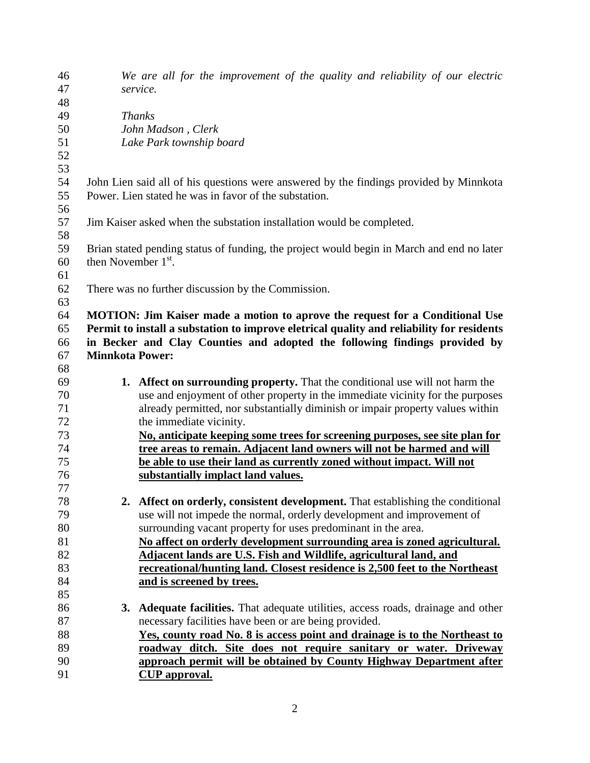| 47<br>service.<br>48<br>49<br><b>Thanks</b><br>50<br>John Madson, Clerk<br>51<br>Lake Park township board<br>52<br>53<br>54<br>John Lien said all of his questions were answered by the findings provided by Minnkota<br>Power. Lien stated he was in favor of the substation.<br>55<br>56<br>57<br>Jim Kaiser asked when the substation installation would be completed.<br>58<br>59<br>Brian stated pending status of funding, the project would begin in March and end no later<br>then November 1 <sup>st</sup> .<br>60<br>61<br>62<br>There was no further discussion by the Commission.<br>63<br>64<br><b>MOTION:</b> Jim Kaiser made a motion to aprove the request for a Conditional Use<br>Permit to install a substation to improve eletrical quality and reliability for residents<br>65<br>in Becker and Clay Counties and adopted the following findings provided by<br>66<br>67<br><b>Minnkota Power:</b><br>68<br>69<br>1. Affect on surrounding property. That the conditional use will not harm the<br>70<br>use and enjoyment of other property in the immediate vicinity for the purposes<br>71<br>already permitted, nor substantially diminish or impair property values within<br>72<br>the immediate vicinity.<br>73<br>No, anticipate keeping some trees for screening purposes, see site plan for<br>74<br>tree areas to remain. Adjacent land owners will not be harmed and will<br>75<br>be able to use their land as currently zoned without impact. Will not<br>76<br>substantially implact land values.<br>77<br>2. Affect on orderly, consistent development. That establishing the conditional<br>78<br>79<br>use will not impede the normal, orderly development and improvement of<br>80<br>surrounding vacant property for uses predominant in the area.<br>81<br>No affect on orderly development surrounding area is zoned agricultural.<br>82<br>Adjacent lands are U.S. Fish and Wildlife, agricultural land, and<br>83<br>recreational/hunting land. Closest residence is 2,500 feet to the Northeast<br>84<br>and is screened by trees.<br>85<br>86<br>3. Adequate facilities. That adequate utilities, access roads, drainage and other<br>87<br>necessary facilities have been or are being provided.<br>88<br>Yes, county road No. 8 is access point and drainage is to the Northeast to | 46 | We are all for the improvement of the quality and reliability of our electric |
|--------------------------------------------------------------------------------------------------------------------------------------------------------------------------------------------------------------------------------------------------------------------------------------------------------------------------------------------------------------------------------------------------------------------------------------------------------------------------------------------------------------------------------------------------------------------------------------------------------------------------------------------------------------------------------------------------------------------------------------------------------------------------------------------------------------------------------------------------------------------------------------------------------------------------------------------------------------------------------------------------------------------------------------------------------------------------------------------------------------------------------------------------------------------------------------------------------------------------------------------------------------------------------------------------------------------------------------------------------------------------------------------------------------------------------------------------------------------------------------------------------------------------------------------------------------------------------------------------------------------------------------------------------------------------------------------------------------------------------------------------------------------------------------------------------------------------------------------------------------------------------------------------------------------------------------------------------------------------------------------------------------------------------------------------------------------------------------------------------------------------------------------------------------------------------------------------------------------------------------------------------------------------------------------------------------------------------------|----|-------------------------------------------------------------------------------|
|                                                                                                                                                                                                                                                                                                                                                                                                                                                                                                                                                                                                                                                                                                                                                                                                                                                                                                                                                                                                                                                                                                                                                                                                                                                                                                                                                                                                                                                                                                                                                                                                                                                                                                                                                                                                                                                                                                                                                                                                                                                                                                                                                                                                                                                                                                                                      |    |                                                                               |
|                                                                                                                                                                                                                                                                                                                                                                                                                                                                                                                                                                                                                                                                                                                                                                                                                                                                                                                                                                                                                                                                                                                                                                                                                                                                                                                                                                                                                                                                                                                                                                                                                                                                                                                                                                                                                                                                                                                                                                                                                                                                                                                                                                                                                                                                                                                                      |    |                                                                               |
|                                                                                                                                                                                                                                                                                                                                                                                                                                                                                                                                                                                                                                                                                                                                                                                                                                                                                                                                                                                                                                                                                                                                                                                                                                                                                                                                                                                                                                                                                                                                                                                                                                                                                                                                                                                                                                                                                                                                                                                                                                                                                                                                                                                                                                                                                                                                      |    |                                                                               |
|                                                                                                                                                                                                                                                                                                                                                                                                                                                                                                                                                                                                                                                                                                                                                                                                                                                                                                                                                                                                                                                                                                                                                                                                                                                                                                                                                                                                                                                                                                                                                                                                                                                                                                                                                                                                                                                                                                                                                                                                                                                                                                                                                                                                                                                                                                                                      |    |                                                                               |
|                                                                                                                                                                                                                                                                                                                                                                                                                                                                                                                                                                                                                                                                                                                                                                                                                                                                                                                                                                                                                                                                                                                                                                                                                                                                                                                                                                                                                                                                                                                                                                                                                                                                                                                                                                                                                                                                                                                                                                                                                                                                                                                                                                                                                                                                                                                                      |    |                                                                               |
|                                                                                                                                                                                                                                                                                                                                                                                                                                                                                                                                                                                                                                                                                                                                                                                                                                                                                                                                                                                                                                                                                                                                                                                                                                                                                                                                                                                                                                                                                                                                                                                                                                                                                                                                                                                                                                                                                                                                                                                                                                                                                                                                                                                                                                                                                                                                      |    |                                                                               |
|                                                                                                                                                                                                                                                                                                                                                                                                                                                                                                                                                                                                                                                                                                                                                                                                                                                                                                                                                                                                                                                                                                                                                                                                                                                                                                                                                                                                                                                                                                                                                                                                                                                                                                                                                                                                                                                                                                                                                                                                                                                                                                                                                                                                                                                                                                                                      |    |                                                                               |
|                                                                                                                                                                                                                                                                                                                                                                                                                                                                                                                                                                                                                                                                                                                                                                                                                                                                                                                                                                                                                                                                                                                                                                                                                                                                                                                                                                                                                                                                                                                                                                                                                                                                                                                                                                                                                                                                                                                                                                                                                                                                                                                                                                                                                                                                                                                                      |    |                                                                               |
|                                                                                                                                                                                                                                                                                                                                                                                                                                                                                                                                                                                                                                                                                                                                                                                                                                                                                                                                                                                                                                                                                                                                                                                                                                                                                                                                                                                                                                                                                                                                                                                                                                                                                                                                                                                                                                                                                                                                                                                                                                                                                                                                                                                                                                                                                                                                      |    |                                                                               |
|                                                                                                                                                                                                                                                                                                                                                                                                                                                                                                                                                                                                                                                                                                                                                                                                                                                                                                                                                                                                                                                                                                                                                                                                                                                                                                                                                                                                                                                                                                                                                                                                                                                                                                                                                                                                                                                                                                                                                                                                                                                                                                                                                                                                                                                                                                                                      |    |                                                                               |
|                                                                                                                                                                                                                                                                                                                                                                                                                                                                                                                                                                                                                                                                                                                                                                                                                                                                                                                                                                                                                                                                                                                                                                                                                                                                                                                                                                                                                                                                                                                                                                                                                                                                                                                                                                                                                                                                                                                                                                                                                                                                                                                                                                                                                                                                                                                                      |    |                                                                               |
|                                                                                                                                                                                                                                                                                                                                                                                                                                                                                                                                                                                                                                                                                                                                                                                                                                                                                                                                                                                                                                                                                                                                                                                                                                                                                                                                                                                                                                                                                                                                                                                                                                                                                                                                                                                                                                                                                                                                                                                                                                                                                                                                                                                                                                                                                                                                      |    |                                                                               |
|                                                                                                                                                                                                                                                                                                                                                                                                                                                                                                                                                                                                                                                                                                                                                                                                                                                                                                                                                                                                                                                                                                                                                                                                                                                                                                                                                                                                                                                                                                                                                                                                                                                                                                                                                                                                                                                                                                                                                                                                                                                                                                                                                                                                                                                                                                                                      |    |                                                                               |
|                                                                                                                                                                                                                                                                                                                                                                                                                                                                                                                                                                                                                                                                                                                                                                                                                                                                                                                                                                                                                                                                                                                                                                                                                                                                                                                                                                                                                                                                                                                                                                                                                                                                                                                                                                                                                                                                                                                                                                                                                                                                                                                                                                                                                                                                                                                                      |    |                                                                               |
|                                                                                                                                                                                                                                                                                                                                                                                                                                                                                                                                                                                                                                                                                                                                                                                                                                                                                                                                                                                                                                                                                                                                                                                                                                                                                                                                                                                                                                                                                                                                                                                                                                                                                                                                                                                                                                                                                                                                                                                                                                                                                                                                                                                                                                                                                                                                      |    |                                                                               |
|                                                                                                                                                                                                                                                                                                                                                                                                                                                                                                                                                                                                                                                                                                                                                                                                                                                                                                                                                                                                                                                                                                                                                                                                                                                                                                                                                                                                                                                                                                                                                                                                                                                                                                                                                                                                                                                                                                                                                                                                                                                                                                                                                                                                                                                                                                                                      |    |                                                                               |
|                                                                                                                                                                                                                                                                                                                                                                                                                                                                                                                                                                                                                                                                                                                                                                                                                                                                                                                                                                                                                                                                                                                                                                                                                                                                                                                                                                                                                                                                                                                                                                                                                                                                                                                                                                                                                                                                                                                                                                                                                                                                                                                                                                                                                                                                                                                                      |    |                                                                               |
|                                                                                                                                                                                                                                                                                                                                                                                                                                                                                                                                                                                                                                                                                                                                                                                                                                                                                                                                                                                                                                                                                                                                                                                                                                                                                                                                                                                                                                                                                                                                                                                                                                                                                                                                                                                                                                                                                                                                                                                                                                                                                                                                                                                                                                                                                                                                      |    |                                                                               |
|                                                                                                                                                                                                                                                                                                                                                                                                                                                                                                                                                                                                                                                                                                                                                                                                                                                                                                                                                                                                                                                                                                                                                                                                                                                                                                                                                                                                                                                                                                                                                                                                                                                                                                                                                                                                                                                                                                                                                                                                                                                                                                                                                                                                                                                                                                                                      |    |                                                                               |
|                                                                                                                                                                                                                                                                                                                                                                                                                                                                                                                                                                                                                                                                                                                                                                                                                                                                                                                                                                                                                                                                                                                                                                                                                                                                                                                                                                                                                                                                                                                                                                                                                                                                                                                                                                                                                                                                                                                                                                                                                                                                                                                                                                                                                                                                                                                                      |    |                                                                               |
|                                                                                                                                                                                                                                                                                                                                                                                                                                                                                                                                                                                                                                                                                                                                                                                                                                                                                                                                                                                                                                                                                                                                                                                                                                                                                                                                                                                                                                                                                                                                                                                                                                                                                                                                                                                                                                                                                                                                                                                                                                                                                                                                                                                                                                                                                                                                      |    |                                                                               |
|                                                                                                                                                                                                                                                                                                                                                                                                                                                                                                                                                                                                                                                                                                                                                                                                                                                                                                                                                                                                                                                                                                                                                                                                                                                                                                                                                                                                                                                                                                                                                                                                                                                                                                                                                                                                                                                                                                                                                                                                                                                                                                                                                                                                                                                                                                                                      |    |                                                                               |
|                                                                                                                                                                                                                                                                                                                                                                                                                                                                                                                                                                                                                                                                                                                                                                                                                                                                                                                                                                                                                                                                                                                                                                                                                                                                                                                                                                                                                                                                                                                                                                                                                                                                                                                                                                                                                                                                                                                                                                                                                                                                                                                                                                                                                                                                                                                                      |    |                                                                               |
|                                                                                                                                                                                                                                                                                                                                                                                                                                                                                                                                                                                                                                                                                                                                                                                                                                                                                                                                                                                                                                                                                                                                                                                                                                                                                                                                                                                                                                                                                                                                                                                                                                                                                                                                                                                                                                                                                                                                                                                                                                                                                                                                                                                                                                                                                                                                      |    |                                                                               |
|                                                                                                                                                                                                                                                                                                                                                                                                                                                                                                                                                                                                                                                                                                                                                                                                                                                                                                                                                                                                                                                                                                                                                                                                                                                                                                                                                                                                                                                                                                                                                                                                                                                                                                                                                                                                                                                                                                                                                                                                                                                                                                                                                                                                                                                                                                                                      |    |                                                                               |
|                                                                                                                                                                                                                                                                                                                                                                                                                                                                                                                                                                                                                                                                                                                                                                                                                                                                                                                                                                                                                                                                                                                                                                                                                                                                                                                                                                                                                                                                                                                                                                                                                                                                                                                                                                                                                                                                                                                                                                                                                                                                                                                                                                                                                                                                                                                                      |    |                                                                               |
|                                                                                                                                                                                                                                                                                                                                                                                                                                                                                                                                                                                                                                                                                                                                                                                                                                                                                                                                                                                                                                                                                                                                                                                                                                                                                                                                                                                                                                                                                                                                                                                                                                                                                                                                                                                                                                                                                                                                                                                                                                                                                                                                                                                                                                                                                                                                      |    |                                                                               |
|                                                                                                                                                                                                                                                                                                                                                                                                                                                                                                                                                                                                                                                                                                                                                                                                                                                                                                                                                                                                                                                                                                                                                                                                                                                                                                                                                                                                                                                                                                                                                                                                                                                                                                                                                                                                                                                                                                                                                                                                                                                                                                                                                                                                                                                                                                                                      |    |                                                                               |
|                                                                                                                                                                                                                                                                                                                                                                                                                                                                                                                                                                                                                                                                                                                                                                                                                                                                                                                                                                                                                                                                                                                                                                                                                                                                                                                                                                                                                                                                                                                                                                                                                                                                                                                                                                                                                                                                                                                                                                                                                                                                                                                                                                                                                                                                                                                                      |    |                                                                               |
|                                                                                                                                                                                                                                                                                                                                                                                                                                                                                                                                                                                                                                                                                                                                                                                                                                                                                                                                                                                                                                                                                                                                                                                                                                                                                                                                                                                                                                                                                                                                                                                                                                                                                                                                                                                                                                                                                                                                                                                                                                                                                                                                                                                                                                                                                                                                      |    |                                                                               |
|                                                                                                                                                                                                                                                                                                                                                                                                                                                                                                                                                                                                                                                                                                                                                                                                                                                                                                                                                                                                                                                                                                                                                                                                                                                                                                                                                                                                                                                                                                                                                                                                                                                                                                                                                                                                                                                                                                                                                                                                                                                                                                                                                                                                                                                                                                                                      |    |                                                                               |
|                                                                                                                                                                                                                                                                                                                                                                                                                                                                                                                                                                                                                                                                                                                                                                                                                                                                                                                                                                                                                                                                                                                                                                                                                                                                                                                                                                                                                                                                                                                                                                                                                                                                                                                                                                                                                                                                                                                                                                                                                                                                                                                                                                                                                                                                                                                                      |    |                                                                               |
|                                                                                                                                                                                                                                                                                                                                                                                                                                                                                                                                                                                                                                                                                                                                                                                                                                                                                                                                                                                                                                                                                                                                                                                                                                                                                                                                                                                                                                                                                                                                                                                                                                                                                                                                                                                                                                                                                                                                                                                                                                                                                                                                                                                                                                                                                                                                      |    |                                                                               |
|                                                                                                                                                                                                                                                                                                                                                                                                                                                                                                                                                                                                                                                                                                                                                                                                                                                                                                                                                                                                                                                                                                                                                                                                                                                                                                                                                                                                                                                                                                                                                                                                                                                                                                                                                                                                                                                                                                                                                                                                                                                                                                                                                                                                                                                                                                                                      |    |                                                                               |
|                                                                                                                                                                                                                                                                                                                                                                                                                                                                                                                                                                                                                                                                                                                                                                                                                                                                                                                                                                                                                                                                                                                                                                                                                                                                                                                                                                                                                                                                                                                                                                                                                                                                                                                                                                                                                                                                                                                                                                                                                                                                                                                                                                                                                                                                                                                                      |    |                                                                               |
|                                                                                                                                                                                                                                                                                                                                                                                                                                                                                                                                                                                                                                                                                                                                                                                                                                                                                                                                                                                                                                                                                                                                                                                                                                                                                                                                                                                                                                                                                                                                                                                                                                                                                                                                                                                                                                                                                                                                                                                                                                                                                                                                                                                                                                                                                                                                      |    |                                                                               |
|                                                                                                                                                                                                                                                                                                                                                                                                                                                                                                                                                                                                                                                                                                                                                                                                                                                                                                                                                                                                                                                                                                                                                                                                                                                                                                                                                                                                                                                                                                                                                                                                                                                                                                                                                                                                                                                                                                                                                                                                                                                                                                                                                                                                                                                                                                                                      |    |                                                                               |
|                                                                                                                                                                                                                                                                                                                                                                                                                                                                                                                                                                                                                                                                                                                                                                                                                                                                                                                                                                                                                                                                                                                                                                                                                                                                                                                                                                                                                                                                                                                                                                                                                                                                                                                                                                                                                                                                                                                                                                                                                                                                                                                                                                                                                                                                                                                                      |    |                                                                               |
|                                                                                                                                                                                                                                                                                                                                                                                                                                                                                                                                                                                                                                                                                                                                                                                                                                                                                                                                                                                                                                                                                                                                                                                                                                                                                                                                                                                                                                                                                                                                                                                                                                                                                                                                                                                                                                                                                                                                                                                                                                                                                                                                                                                                                                                                                                                                      |    |                                                                               |
|                                                                                                                                                                                                                                                                                                                                                                                                                                                                                                                                                                                                                                                                                                                                                                                                                                                                                                                                                                                                                                                                                                                                                                                                                                                                                                                                                                                                                                                                                                                                                                                                                                                                                                                                                                                                                                                                                                                                                                                                                                                                                                                                                                                                                                                                                                                                      |    |                                                                               |
|                                                                                                                                                                                                                                                                                                                                                                                                                                                                                                                                                                                                                                                                                                                                                                                                                                                                                                                                                                                                                                                                                                                                                                                                                                                                                                                                                                                                                                                                                                                                                                                                                                                                                                                                                                                                                                                                                                                                                                                                                                                                                                                                                                                                                                                                                                                                      |    |                                                                               |
|                                                                                                                                                                                                                                                                                                                                                                                                                                                                                                                                                                                                                                                                                                                                                                                                                                                                                                                                                                                                                                                                                                                                                                                                                                                                                                                                                                                                                                                                                                                                                                                                                                                                                                                                                                                                                                                                                                                                                                                                                                                                                                                                                                                                                                                                                                                                      |    |                                                                               |
|                                                                                                                                                                                                                                                                                                                                                                                                                                                                                                                                                                                                                                                                                                                                                                                                                                                                                                                                                                                                                                                                                                                                                                                                                                                                                                                                                                                                                                                                                                                                                                                                                                                                                                                                                                                                                                                                                                                                                                                                                                                                                                                                                                                                                                                                                                                                      | 89 | roadway ditch. Site does not require sanitary or water. Driveway              |
| 90<br>approach permit will be obtained by County Highway Department after                                                                                                                                                                                                                                                                                                                                                                                                                                                                                                                                                                                                                                                                                                                                                                                                                                                                                                                                                                                                                                                                                                                                                                                                                                                                                                                                                                                                                                                                                                                                                                                                                                                                                                                                                                                                                                                                                                                                                                                                                                                                                                                                                                                                                                                            |    |                                                                               |
| 91<br><b>CUP</b> approval.                                                                                                                                                                                                                                                                                                                                                                                                                                                                                                                                                                                                                                                                                                                                                                                                                                                                                                                                                                                                                                                                                                                                                                                                                                                                                                                                                                                                                                                                                                                                                                                                                                                                                                                                                                                                                                                                                                                                                                                                                                                                                                                                                                                                                                                                                                           |    |                                                                               |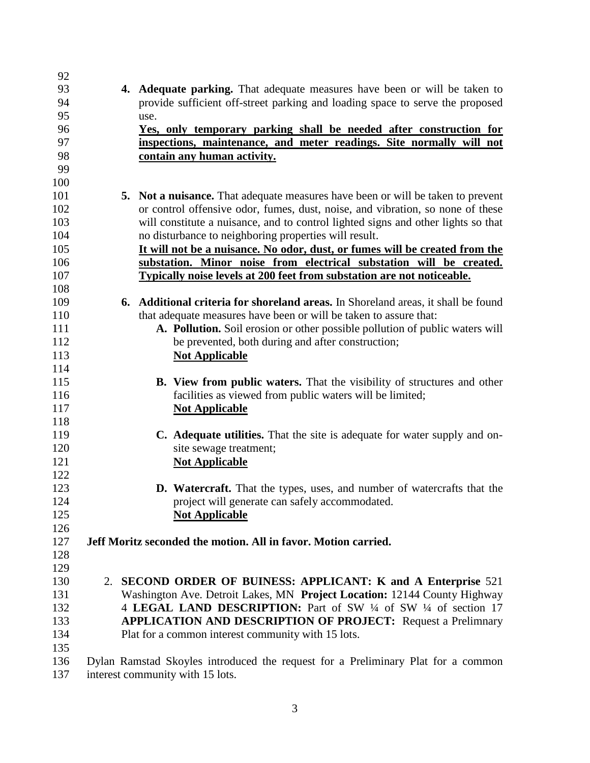| 92          |                                                                                          |
|-------------|------------------------------------------------------------------------------------------|
| 93          | 4. Adequate parking. That adequate measures have been or will be taken to                |
| 94          | provide sufficient off-street parking and loading space to serve the proposed            |
| 95          | use.                                                                                     |
| 96          | <u>Yes, only temporary parking shall be needed after construction for</u>                |
| 97          | inspections, maintenance, and meter readings. Site normally will not                     |
| 98          | contain any human activity.                                                              |
| 99          |                                                                                          |
| 100         |                                                                                          |
| 101         | <b>5.</b> Not a nuisance. That adequate measures have been or will be taken to prevent   |
| 102         | or control offensive odor, fumes, dust, noise, and vibration, so none of these           |
| 103         | will constitute a nuisance, and to control lighted signs and other lights so that        |
| 104         | no disturbance to neighboring properties will result.                                    |
| 105         | It will not be a nuisance. No odor, dust, or fumes will be created from the              |
| 106         | substation. Minor noise from electrical substation will be created.                      |
| 107         | Typically noise levels at 200 feet from substation are not noticeable.                   |
| 108         |                                                                                          |
| 109         | <b>6.</b> Additional criteria for shoreland areas. In Shoreland areas, it shall be found |
| 110         | that adequate measures have been or will be taken to assure that:                        |
| 111         | A. Pollution. Soil erosion or other possible pollution of public waters will             |
| 112         | be prevented, both during and after construction;                                        |
| 113         | <b>Not Applicable</b>                                                                    |
| 114         |                                                                                          |
| 115         | <b>B.</b> View from public waters. That the visibility of structures and other           |
| 116         | facilities as viewed from public waters will be limited;                                 |
| 117         | <b>Not Applicable</b>                                                                    |
| 118         |                                                                                          |
| 119         | C. Adequate utilities. That the site is adequate for water supply and on-                |
| 120         | site sewage treatment;                                                                   |
| 121         | <b>Not Applicable</b>                                                                    |
| 122         |                                                                                          |
| 123         | <b>D.</b> Watercraft. That the types, uses, and number of watercrafts that the           |
| 124         | project will generate can safely accommodated.                                           |
| 125         | <b>Not Applicable</b>                                                                    |
| 126         |                                                                                          |
| 127         | Jeff Moritz seconded the motion. All in favor. Motion carried.                           |
| 128         |                                                                                          |
| 129         |                                                                                          |
| 130         | 2. SECOND ORDER OF BUINESS: APPLICANT: K and A Enterprise 521                            |
| 131         | Washington Ave. Detroit Lakes, MN Project Location: 12144 County Highway                 |
| 132         | 4 LEGAL LAND DESCRIPTION: Part of SW 1/4 of SW 1/4 of section 17                         |
| 133         | <b>APPLICATION AND DESCRIPTION OF PROJECT:</b> Request a Prelimnary                      |
| 134         | Plat for a common interest community with 15 lots.                                       |
| 135         |                                                                                          |
| 136<br>1.27 | Dylan Ramstad Skoyles introduced the request for a Preliminary Plat for a common         |

interest community with 15 lots.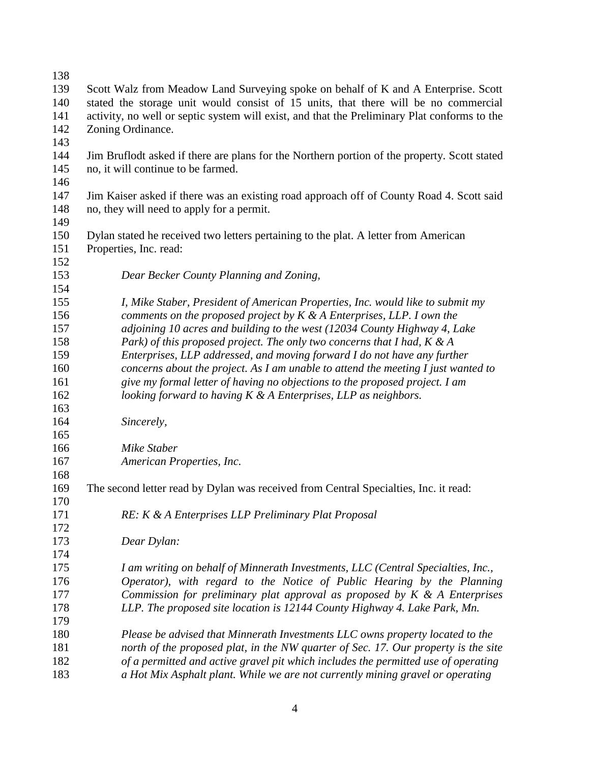| 138 |                                                                                              |  |  |
|-----|----------------------------------------------------------------------------------------------|--|--|
| 139 | Scott Walz from Meadow Land Surveying spoke on behalf of K and A Enterprise. Scott           |  |  |
| 140 | stated the storage unit would consist of 15 units, that there will be no commercial          |  |  |
| 141 | activity, no well or septic system will exist, and that the Preliminary Plat conforms to the |  |  |
| 142 | Zoning Ordinance.                                                                            |  |  |
| 143 |                                                                                              |  |  |
| 144 | Jim Bruflodt asked if there are plans for the Northern portion of the property. Scott stated |  |  |
| 145 | no, it will continue to be farmed.                                                           |  |  |
| 146 |                                                                                              |  |  |
| 147 | Jim Kaiser asked if there was an existing road approach off of County Road 4. Scott said     |  |  |
| 148 | no, they will need to apply for a permit.                                                    |  |  |
| 149 |                                                                                              |  |  |
| 150 | Dylan stated he received two letters pertaining to the plat. A letter from American          |  |  |
| 151 | Properties, Inc. read:                                                                       |  |  |
| 152 |                                                                                              |  |  |
| 153 | Dear Becker County Planning and Zoning,                                                      |  |  |
| 154 |                                                                                              |  |  |
| 155 | I, Mike Staber, President of American Properties, Inc. would like to submit my               |  |  |
| 156 | comments on the proposed project by $K \& A$ Enterprises, LLP. I own the                     |  |  |
| 157 | adjoining 10 acres and building to the west (12034 County Highway 4, Lake                    |  |  |
| 158 | Park) of this proposed project. The only two concerns that I had, $K \& A$                   |  |  |
| 159 | Enterprises, LLP addressed, and moving forward I do not have any further                     |  |  |
| 160 | concerns about the project. As I am unable to attend the meeting I just wanted to            |  |  |
| 161 | give my formal letter of having no objections to the proposed project. I am                  |  |  |
| 162 | looking forward to having $K$ & A Enterprises, LLP as neighbors.                             |  |  |
| 163 |                                                                                              |  |  |
| 164 | Sincerely,                                                                                   |  |  |
| 165 |                                                                                              |  |  |
| 166 | Mike Staber                                                                                  |  |  |
| 167 | American Properties, Inc.                                                                    |  |  |
| 168 |                                                                                              |  |  |
| 169 | The second letter read by Dylan was received from Central Specialties, Inc. it read:         |  |  |
| 170 |                                                                                              |  |  |
| 171 | RE: K & A Enterprises LLP Preliminary Plat Proposal                                          |  |  |
| 172 |                                                                                              |  |  |
| 173 | Dear Dylan:                                                                                  |  |  |
| 174 |                                                                                              |  |  |
| 175 | I am writing on behalf of Minnerath Investments, LLC (Central Specialties, Inc.,             |  |  |
| 176 | Operator), with regard to the Notice of Public Hearing by the Planning                       |  |  |
| 177 | Commission for preliminary plat approval as proposed by $K \& A$ Enterprises                 |  |  |
| 178 | LLP. The proposed site location is 12144 County Highway 4. Lake Park, Mn.                    |  |  |
| 179 |                                                                                              |  |  |
| 180 | Please be advised that Minnerath Investments LLC owns property located to the                |  |  |
| 181 | north of the proposed plat, in the NW quarter of Sec. 17. Our property is the site           |  |  |
| 182 | of a permitted and active gravel pit which includes the permitted use of operating           |  |  |
| 183 | a Hot Mix Asphalt plant. While we are not currently mining gravel or operating               |  |  |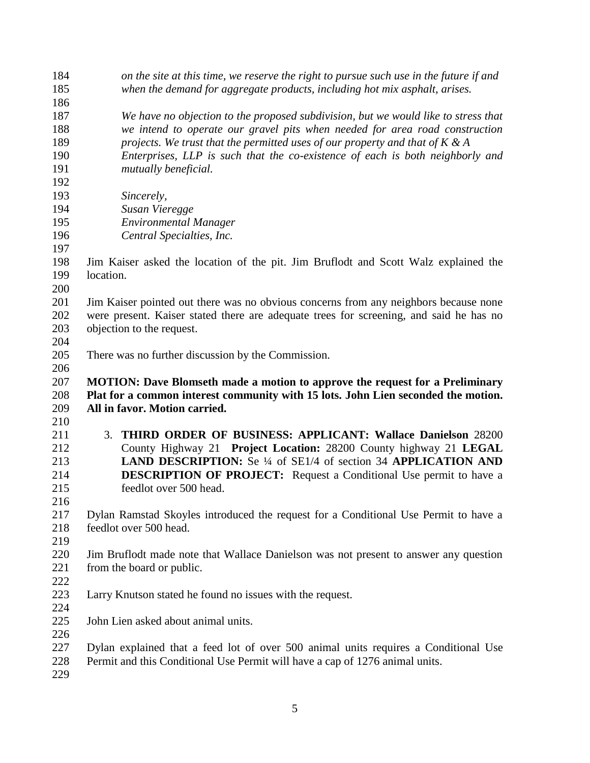| 184 | on the site at this time, we reserve the right to pursue such use in the future if and |
|-----|----------------------------------------------------------------------------------------|
| 185 | when the demand for aggregate products, including hot mix asphalt, arises.             |
| 186 |                                                                                        |
| 187 | We have no objection to the proposed subdivision, but we would like to stress that     |
| 188 | we intend to operate our gravel pits when needed for area road construction            |
| 189 | projects. We trust that the permitted uses of our property and that of $K \& A$        |
| 190 | Enterprises, LLP is such that the co-existence of each is both neighborly and          |
| 191 | mutually beneficial.                                                                   |
| 192 |                                                                                        |
| 193 | Sincerely,                                                                             |
| 194 | Susan Vieregge                                                                         |
| 195 | <b>Environmental Manager</b>                                                           |
| 196 | Central Specialties, Inc.                                                              |
| 197 |                                                                                        |
| 198 | Jim Kaiser asked the location of the pit. Jim Bruflodt and Scott Walz explained the    |
| 199 | location.                                                                              |
| 200 |                                                                                        |
| 201 | Jim Kaiser pointed out there was no obvious concerns from any neighbors because none   |
| 202 | were present. Kaiser stated there are adequate trees for screening, and said he has no |
| 203 | objection to the request.                                                              |
| 204 |                                                                                        |
| 205 | There was no further discussion by the Commission.                                     |
| 206 |                                                                                        |
| 207 | <b>MOTION: Dave Blomseth made a motion to approve the request for a Preliminary</b>    |
| 208 | Plat for a common interest community with 15 lots. John Lien seconded the motion.      |
| 209 | All in favor. Motion carried.                                                          |
| 210 |                                                                                        |
| 211 | 3. THIRD ORDER OF BUSINESS: APPLICANT: Wallace Danielson 28200                         |
| 212 | County Highway 21 Project Location: 28200 County highway 21 LEGAL                      |
| 213 | LAND DESCRIPTION: Se 1/4 of SE1/4 of section 34 APPLICATION AND                        |
| 214 | <b>DESCRIPTION OF PROJECT:</b> Request a Conditional Use permit to have a              |
| 215 | feedlot over 500 head.                                                                 |
| 216 |                                                                                        |
| 217 | Dylan Ramstad Skoyles introduced the request for a Conditional Use Permit to have a    |
| 218 | feedlot over 500 head.                                                                 |
| 219 |                                                                                        |
| 220 | Jim Bruflodt made note that Wallace Danielson was not present to answer any question   |
| 221 | from the board or public.                                                              |
| 222 |                                                                                        |
| 223 | Larry Knutson stated he found no issues with the request.                              |
| 224 |                                                                                        |
| 225 | John Lien asked about animal units.                                                    |
| 226 |                                                                                        |
| 227 | Dylan explained that a feed lot of over 500 animal units requires a Conditional Use    |
| 228 | Permit and this Conditional Use Permit will have a cap of 1276 animal units.           |
|     |                                                                                        |
| 229 |                                                                                        |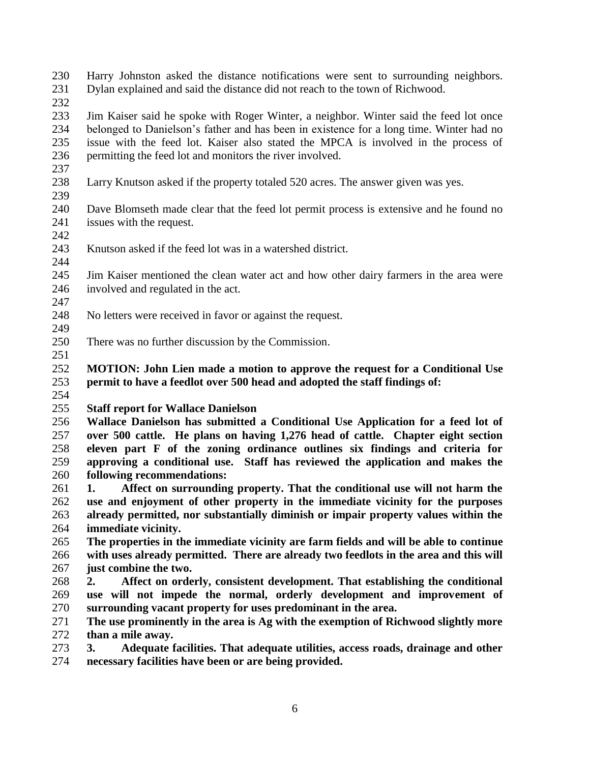- Harry Johnston asked the distance notifications were sent to surrounding neighbors. Dylan explained and said the distance did not reach to the town of Richwood.
- 

 Jim Kaiser said he spoke with Roger Winter, a neighbor. Winter said the feed lot once belonged to Danielson's father and has been in existence for a long time. Winter had no issue with the feed lot. Kaiser also stated the MPCA is involved in the process of permitting the feed lot and monitors the river involved.

- Larry Knutson asked if the property totaled 520 acres. The answer given was yes.
- Dave Blomseth made clear that the feed lot permit process is extensive and he found no issues with the request.
- 
- Knutson asked if the feed lot was in a watershed district.
- Jim Kaiser mentioned the clean water act and how other dairy farmers in the area were involved and regulated in the act.
- 
- No letters were received in favor or against the request.
- There was no further discussion by the Commission.
- 
- **MOTION: John Lien made a motion to approve the request for a Conditional Use permit to have a feedlot over 500 head and adopted the staff findings of:**
- 
- **Staff report for Wallace Danielson**
- **Wallace Danielson has submitted a Conditional Use Application for a feed lot of over 500 cattle. He plans on having 1,276 head of cattle. Chapter eight section eleven part F of the zoning ordinance outlines six findings and criteria for approving a conditional use. Staff has reviewed the application and makes the following recommendations:**
- **1. Affect on surrounding property. That the conditional use will not harm the use and enjoyment of other property in the immediate vicinity for the purposes already permitted, nor substantially diminish or impair property values within the immediate vicinity.**
- **The properties in the immediate vicinity are farm fields and will be able to continue with uses already permitted. There are already two feedlots in the area and this will just combine the two.**
- **2. Affect on orderly, consistent development. That establishing the conditional use will not impede the normal, orderly development and improvement of surrounding vacant property for uses predominant in the area.**
- **The use prominently in the area is Ag with the exemption of Richwood slightly more than a mile away.**
- **3. Adequate facilities. That adequate utilities, access roads, drainage and other necessary facilities have been or are being provided.**